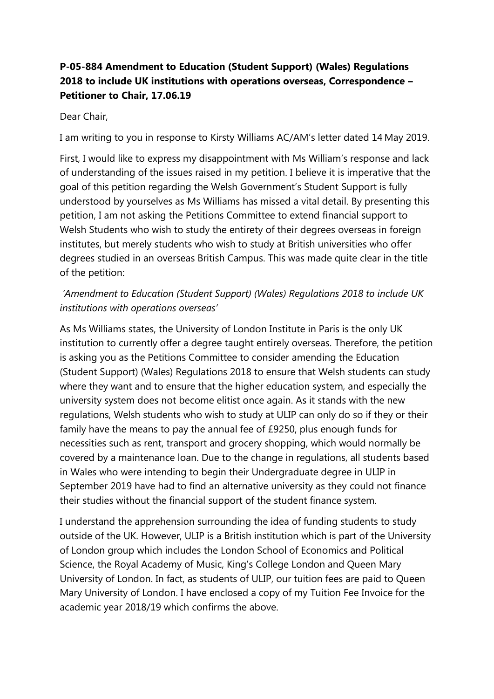## **P-05-884 Amendment to Education (Student Support) (Wales) Regulations 2018 to include UK institutions with operations overseas, Correspondence – Petitioner to Chair, 17.06.19**

## Dear Chair,

I am writing to you in response to Kirsty Williams AC/AM's letter dated 14 May 2019.

First, I would like to express my disappointment with Ms William's response and lack of understanding of the issues raised in my petition. I believe it is imperative that the goal of this petition regarding the Welsh Government's Student Support is fully understood by yourselves as Ms Williams has missed a vital detail. By presenting this petition, I am not asking the Petitions Committee to extend financial support to Welsh Students who wish to study the entirety of their degrees overseas in foreign institutes, but merely students who wish to study at British universities who offer degrees studied in an overseas British Campus. This was made quite clear in the title of the petition:

## *'Amendment to Education (Student Support) (Wales) Regulations 2018 to include UK institutions with operations overseas'*

As Ms Williams states, the University of London Institute in Paris is the only UK institution to currently offer a degree taught entirely overseas. Therefore, the petition is asking you as the Petitions Committee to consider amending the Education (Student Support) (Wales) Regulations 2018 to ensure that Welsh students can study where they want and to ensure that the higher education system, and especially the university system does not become elitist once again. As it stands with the new regulations, Welsh students who wish to study at ULIP can only do so if they or their family have the means to pay the annual fee of £9250, plus enough funds for necessities such as rent, transport and grocery shopping, which would normally be covered by a maintenance loan. Due to the change in regulations, all students based in Wales who were intending to begin their Undergraduate degree in ULIP in September 2019 have had to find an alternative university as they could not finance their studies without the financial support of the student finance system.

I understand the apprehension surrounding the idea of funding students to study outside of the UK. However, ULIP is a British institution which is part of the University of London group which includes the London School of Economics and Political Science, the Royal Academy of Music, King's College London and Queen Mary University of London. In fact, as students of ULIP, our tuition fees are paid to Queen Mary University of London. I have enclosed a copy of my Tuition Fee Invoice for the academic year 2018/19 which confirms the above.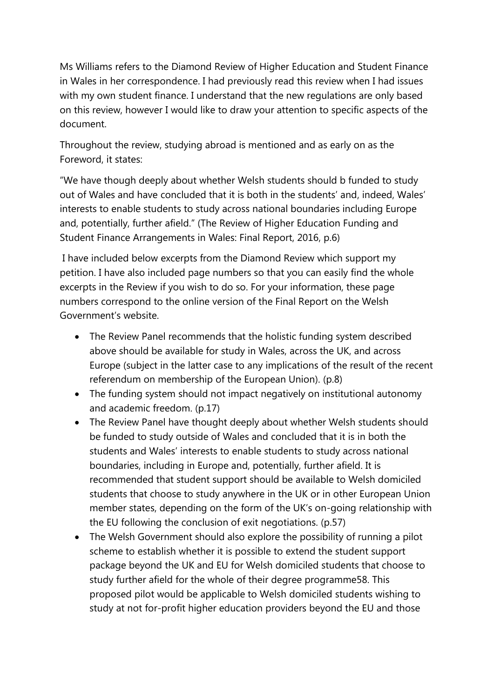Ms Williams refers to the Diamond Review of Higher Education and Student Finance in Wales in her correspondence. I had previously read this review when I had issues with my own student finance. I understand that the new regulations are only based on this review, however I would like to draw your attention to specific aspects of the document.

Throughout the review, studying abroad is mentioned and as early on as the Foreword, it states:

"We have though deeply about whether Welsh students should b funded to study out of Wales and have concluded that it is both in the students' and, indeed, Wales' interests to enable students to study across national boundaries including Europe and, potentially, further afield." (The Review of Higher Education Funding and Student Finance Arrangements in Wales: Final Report, 2016, p.6)

I have included below excerpts from the Diamond Review which support my petition. I have also included page numbers so that you can easily find the whole excerpts in the Review if you wish to do so. For your information, these page numbers correspond to the online version of the Final Report on the Welsh Government's website.

- The Review Panel recommends that the holistic funding system described above should be available for study in Wales, across the UK, and across Europe (subject in the latter case to any implications of the result of the recent referendum on membership of the European Union). (p.8)
- The funding system should not impact negatively on institutional autonomy and academic freedom. (p.17)
- The Review Panel have thought deeply about whether Welsh students should be funded to study outside of Wales and concluded that it is in both the students and Wales' interests to enable students to study across national boundaries, including in Europe and, potentially, further afield. It is recommended that student support should be available to Welsh domiciled students that choose to study anywhere in the UK or in other European Union member states, depending on the form of the UK's on-going relationship with the EU following the conclusion of exit negotiations. (p.57)
- The Welsh Government should also explore the possibility of running a pilot scheme to establish whether it is possible to extend the student support package beyond the UK and EU for Welsh domiciled students that choose to study further afield for the whole of their degree programme58. This proposed pilot would be applicable to Welsh domiciled students wishing to study at not for-profit higher education providers beyond the EU and those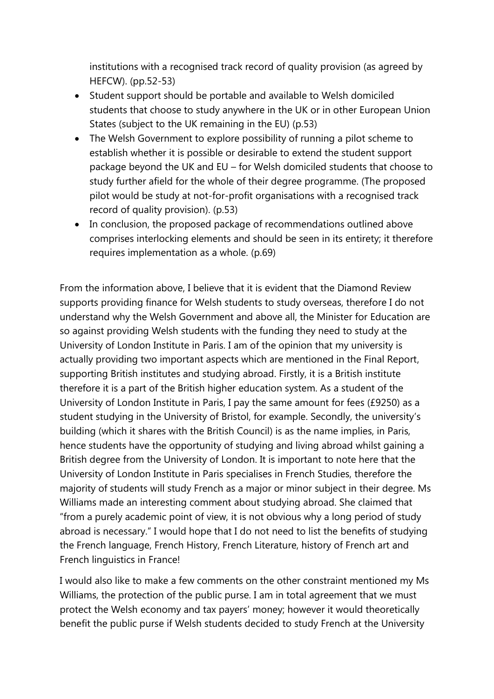institutions with a recognised track record of quality provision (as agreed by HEFCW). (pp.52-53)

- Student support should be portable and available to Welsh domiciled students that choose to study anywhere in the UK or in other European Union States (subject to the UK remaining in the EU) (p.53)
- The Welsh Government to explore possibility of running a pilot scheme to establish whether it is possible or desirable to extend the student support package beyond the UK and EU – for Welsh domiciled students that choose to study further afield for the whole of their degree programme. (The proposed pilot would be study at not-for-profit organisations with a recognised track record of quality provision). (p.53)
- In conclusion, the proposed package of recommendations outlined above comprises interlocking elements and should be seen in its entirety; it therefore requires implementation as a whole. (p.69)

From the information above, I believe that it is evident that the Diamond Review supports providing finance for Welsh students to study overseas, therefore I do not understand why the Welsh Government and above all, the Minister for Education are so against providing Welsh students with the funding they need to study at the University of London Institute in Paris. I am of the opinion that my university is actually providing two important aspects which are mentioned in the Final Report, supporting British institutes and studying abroad. Firstly, it is a British institute therefore it is a part of the British higher education system. As a student of the University of London Institute in Paris, I pay the same amount for fees (£9250) as a student studying in the University of Bristol, for example. Secondly, the university's building (which it shares with the British Council) is as the name implies, in Paris, hence students have the opportunity of studying and living abroad whilst gaining a British degree from the University of London. It is important to note here that the University of London Institute in Paris specialises in French Studies, therefore the majority of students will study French as a major or minor subject in their degree. Ms Williams made an interesting comment about studying abroad. She claimed that "from a purely academic point of view, it is not obvious why a long period of study abroad is necessary." I would hope that I do not need to list the benefits of studying the French language, French History, French Literature, history of French art and French linguistics in France!

I would also like to make a few comments on the other constraint mentioned my Ms Williams, the protection of the public purse. I am in total agreement that we must protect the Welsh economy and tax payers' money; however it would theoretically benefit the public purse if Welsh students decided to study French at the University